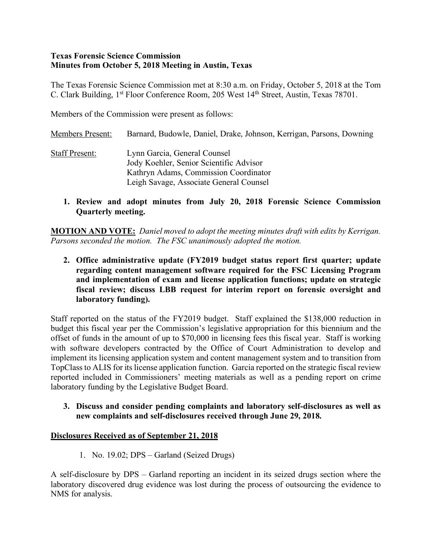#### **Texas Forensic Science Commission Minutes from October 5, 2018 Meeting in Austin, Texas**

The Texas Forensic Science Commission met at 8:30 a.m. on Friday, October 5, 2018 at the Tom C. Clark Building, 1<sup>st</sup> Floor Conference Room, 205 West 14<sup>th</sup> Street, Austin, Texas 78701.

Members of the Commission were present as follows:

- Members Present: Barnard, Budowle, Daniel, Drake, Johnson, Kerrigan, Parsons, Downing Staff Present: Lynn Garcia, General Counsel Jody Koehler, Senior Scientific Advisor Kathryn Adams, Commission Coordinator Leigh Savage, Associate General Counsel
	- **1. Review and adopt minutes from July 20, 2018 Forensic Science Commission Quarterly meeting.**

**MOTION AND VOTE:** *Daniel moved to adopt the meeting minutes draft with edits by Kerrigan. Parsons seconded the motion. The FSC unanimously adopted the motion.*

**2. Office administrative update (FY2019 budget status report first quarter; update regarding content management software required for the FSC Licensing Program and implementation of exam and license application functions; update on strategic fiscal review; discuss LBB request for interim report on forensic oversight and laboratory funding).**

Staff reported on the status of the FY2019 budget. Staff explained the \$138,000 reduction in budget this fiscal year per the Commission's legislative appropriation for this biennium and the offset of funds in the amount of up to \$70,000 in licensing fees this fiscal year. Staff is working with software developers contracted by the Office of Court Administration to develop and implement its licensing application system and content management system and to transition from TopClass to ALIS for its license application function. Garcia reported on the strategic fiscal review reported included in Commissioners' meeting materials as well as a pending report on crime laboratory funding by the Legislative Budget Board.

**3. Discuss and consider pending complaints and laboratory self-disclosures as well as new complaints and self-disclosures received through June 29, 2018.**

#### **Disclosures Received as of September 21, 2018**

1. No. 19.02; DPS – Garland (Seized Drugs)

A self-disclosure by DPS – Garland reporting an incident in its seized drugs section where the laboratory discovered drug evidence was lost during the process of outsourcing the evidence to NMS for analysis.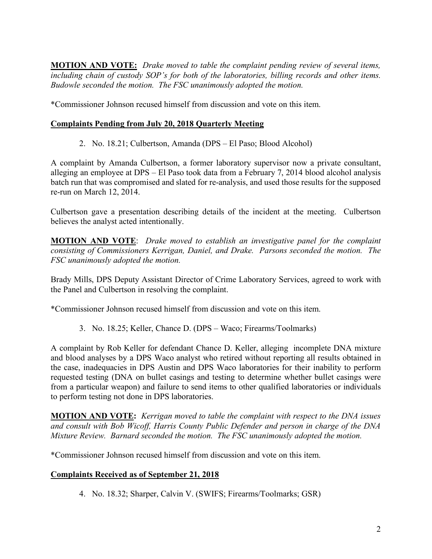**MOTION AND VOTE:** *Drake moved to table the complaint pending review of several items, including chain of custody SOP's for both of the laboratories, billing records and other items. Budowle seconded the motion. The FSC unanimously adopted the motion.*

\*Commissioner Johnson recused himself from discussion and vote on this item.

### **Complaints Pending from July 20, 2018 Quarterly Meeting**

2. No. 18.21; Culbertson, Amanda (DPS – El Paso; Blood Alcohol)

A complaint by Amanda Culbertson, a former laboratory supervisor now a private consultant, alleging an employee at DPS – El Paso took data from a February 7, 2014 blood alcohol analysis batch run that was compromised and slated for re-analysis, and used those results for the supposed re-run on March 12, 2014.

Culbertson gave a presentation describing details of the incident at the meeting. Culbertson believes the analyst acted intentionally.

**MOTION AND VOTE**: *Drake moved to establish an investigative panel for the complaint consisting of Commissioners Kerrigan, Daniel, and Drake. Parsons seconded the motion. The FSC unanimously adopted the motion.*

Brady Mills, DPS Deputy Assistant Director of Crime Laboratory Services, agreed to work with the Panel and Culbertson in resolving the complaint.

\*Commissioner Johnson recused himself from discussion and vote on this item.

3. No. 18.25; Keller, Chance D. (DPS – Waco; Firearms/Toolmarks)

A complaint by Rob Keller for defendant Chance D. Keller, alleging incomplete DNA mixture and blood analyses by a DPS Waco analyst who retired without reporting all results obtained in the case, inadequacies in DPS Austin and DPS Waco laboratories for their inability to perform requested testing (DNA on bullet casings and testing to determine whether bullet casings were from a particular weapon) and failure to send items to other qualified laboratories or individuals to perform testing not done in DPS laboratories.

**MOTION AND VOTE:** *Kerrigan moved to table the complaint with respect to the DNA issues and consult with Bob Wicoff, Harris County Public Defender and person in charge of the DNA Mixture Review. Barnard seconded the motion. The FSC unanimously adopted the motion.*

\*Commissioner Johnson recused himself from discussion and vote on this item.

## **Complaints Received as of September 21, 2018**

4. No. 18.32; Sharper, Calvin V. (SWIFS; Firearms/Toolmarks; GSR)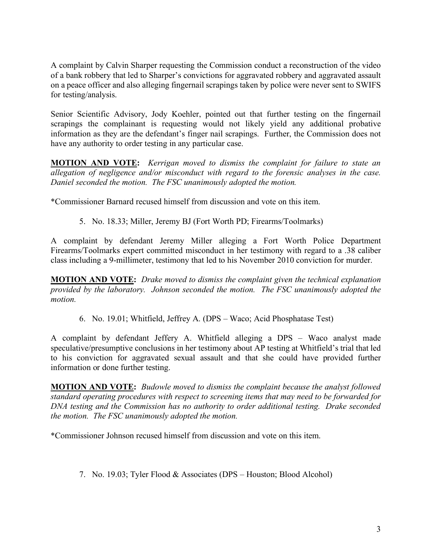A complaint by Calvin Sharper requesting the Commission conduct a reconstruction of the video of a bank robbery that led to Sharper's convictions for aggravated robbery and aggravated assault on a peace officer and also alleging fingernail scrapings taken by police were never sent to SWIFS for testing/analysis.

Senior Scientific Advisory, Jody Koehler, pointed out that further testing on the fingernail scrapings the complainant is requesting would not likely yield any additional probative information as they are the defendant's finger nail scrapings. Further, the Commission does not have any authority to order testing in any particular case.

**MOTION AND VOTE:** *Kerrigan moved to dismiss the complaint for failure to state an allegation of negligence and/or misconduct with regard to the forensic analyses in the case. Daniel seconded the motion. The FSC unanimously adopted the motion.* 

\*Commissioner Barnard recused himself from discussion and vote on this item.

5. No. 18.33; Miller, Jeremy BJ (Fort Worth PD; Firearms/Toolmarks)

A complaint by defendant Jeremy Miller alleging a Fort Worth Police Department Firearms/Toolmarks expert committed misconduct in her testimony with regard to a .38 caliber class including a 9-millimeter, testimony that led to his November 2010 conviction for murder.

**MOTION AND VOTE:** *Drake moved to dismiss the complaint given the technical explanation provided by the laboratory. Johnson seconded the motion. The FSC unanimously adopted the motion.*

6. No. 19.01; Whitfield, Jeffrey A. (DPS – Waco; Acid Phosphatase Test)

A complaint by defendant Jeffery A. Whitfield alleging a DPS – Waco analyst made speculative/presumptive conclusions in her testimony about AP testing at Whitfield's trial that led to his conviction for aggravated sexual assault and that she could have provided further information or done further testing.

**MOTION AND VOTE:** *Budowle moved to dismiss the complaint because the analyst followed standard operating procedures with respect to screening items that may need to be forwarded for DNA testing and the Commission has no authority to order additional testing. Drake seconded the motion. The FSC unanimously adopted the motion.*

\*Commissioner Johnson recused himself from discussion and vote on this item.

7. No. 19.03; Tyler Flood & Associates (DPS – Houston; Blood Alcohol)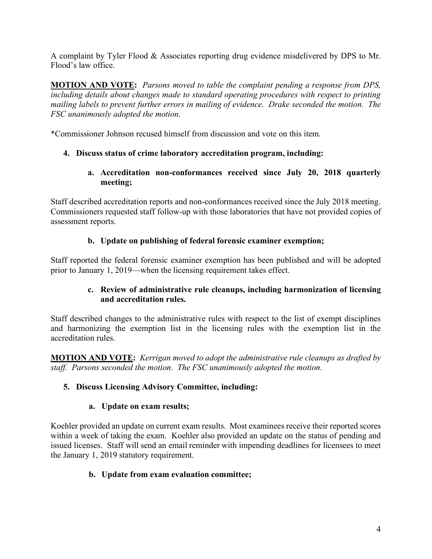A complaint by Tyler Flood & Associates reporting drug evidence misdelivered by DPS to Mr. Flood's law office.

**MOTION AND VOTE:** *Parsons moved to table the complaint pending a response from DPS, including details about changes made to standard operating procedures with respect to printing mailing labels to prevent further errors in mailing of evidence. Drake seconded the motion. The FSC unanimously adopted the motion.* 

\*Commissioner Johnson recused himself from discussion and vote on this item.

# **4. Discuss status of crime laboratory accreditation program, including:**

**a. Accreditation non-conformances received since July 20, 2018 quarterly meeting;**

Staff described accreditation reports and non-conformances received since the July 2018 meeting. Commissioners requested staff follow-up with those laboratories that have not provided copies of assessment reports.

# **b. Update on publishing of federal forensic examiner exemption;**

Staff reported the federal forensic examiner exemption has been published and will be adopted prior to January 1, 2019—when the licensing requirement takes effect.

### **c. Review of administrative rule cleanups, including harmonization of licensing and accreditation rules.**

Staff described changes to the administrative rules with respect to the list of exempt disciplines and harmonizing the exemption list in the licensing rules with the exemption list in the accreditation rules.

**MOTION AND VOTE:** *Kerrigan moved to adopt the administrative rule cleanups as drafted by staff. Parsons seconded the motion. The FSC unanimously adopted the motion.*

## **5. Discuss Licensing Advisory Committee, including:**

## **a. Update on exam results;**

Koehler provided an update on current exam results. Most examinees receive their reported scores within a week of taking the exam. Koehler also provided an update on the status of pending and issued licenses. Staff will send an email reminder with impending deadlines for licensees to meet the January 1, 2019 statutory requirement.

## **b. Update from exam evaluation committee;**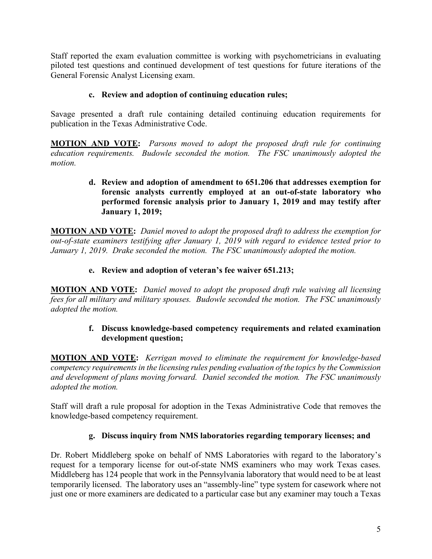Staff reported the exam evaluation committee is working with psychometricians in evaluating piloted test questions and continued development of test questions for future iterations of the General Forensic Analyst Licensing exam.

#### **c. Review and adoption of continuing education rules;**

Savage presented a draft rule containing detailed continuing education requirements for publication in the Texas Administrative Code.

**MOTION AND VOTE:** *Parsons moved to adopt the proposed draft rule for continuing education requirements. Budowle seconded the motion. The FSC unanimously adopted the motion.*

#### **d. Review and adoption of amendment to 651.206 that addresses exemption for forensic analysts currently employed at an out-of-state laboratory who performed forensic analysis prior to January 1, 2019 and may testify after January 1, 2019;**

**MOTION AND VOTE:** *Daniel moved to adopt the proposed draft to address the exemption for out-of-state examiners testifying after January 1, 2019 with regard to evidence tested prior to January 1, 2019. Drake seconded the motion. The FSC unanimously adopted the motion.*

### **e. Review and adoption of veteran's fee waiver 651.213;**

**MOTION AND VOTE:** *Daniel moved to adopt the proposed draft rule waiving all licensing fees for all military and military spouses. Budowle seconded the motion. The FSC unanimously adopted the motion.*

#### **f. Discuss knowledge-based competency requirements and related examination development question;**

**MOTION AND VOTE:** *Kerrigan moved to eliminate the requirement for knowledge-based competency requirements in the licensing rules pending evaluation of the topics by the Commission and development of plans moving forward. Daniel seconded the motion. The FSC unanimously adopted the motion.* 

Staff will draft a rule proposal for adoption in the Texas Administrative Code that removes the knowledge-based competency requirement.

## **g. Discuss inquiry from NMS laboratories regarding temporary licenses; and**

Dr. Robert Middleberg spoke on behalf of NMS Laboratories with regard to the laboratory's request for a temporary license for out-of-state NMS examiners who may work Texas cases. Middleberg has 124 people that work in the Pennsylvania laboratory that would need to be at least temporarily licensed. The laboratory uses an "assembly-line" type system for casework where not just one or more examiners are dedicated to a particular case but any examiner may touch a Texas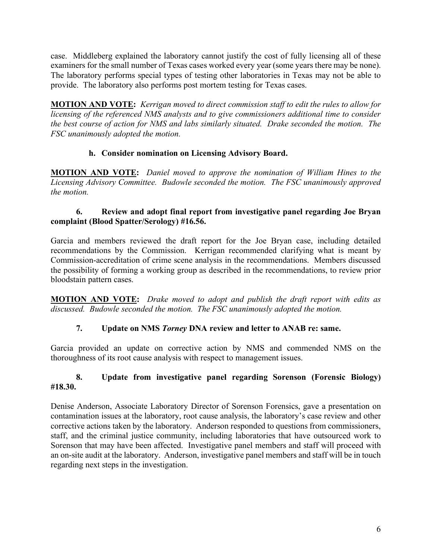case. Middleberg explained the laboratory cannot justify the cost of fully licensing all of these examiners for the small number of Texas cases worked every year (some years there may be none). The laboratory performs special types of testing other laboratories in Texas may not be able to provide. The laboratory also performs post mortem testing for Texas cases.

**MOTION AND VOTE:** *Kerrigan moved to direct commission staff to edit the rules to allow for licensing of the referenced NMS analysts and to give commissioners additional time to consider the best course of action for NMS and labs similarly situated. Drake seconded the motion. The FSC unanimously adopted the motion.*

## **h. Consider nomination on Licensing Advisory Board.**

**MOTION AND VOTE:** *Daniel moved to approve the nomination of William Hines to the Licensing Advisory Committee. Budowle seconded the motion. The FSC unanimously approved the motion.*

#### **6. Review and adopt final report from investigative panel regarding Joe Bryan complaint (Blood Spatter/Serology) #16.56.**

Garcia and members reviewed the draft report for the Joe Bryan case, including detailed recommendations by the Commission. Kerrigan recommended clarifying what is meant by Commission-accreditation of crime scene analysis in the recommendations. Members discussed the possibility of forming a working group as described in the recommendations, to review prior bloodstain pattern cases.

**MOTION AND VOTE:** *Drake moved to adopt and publish the draft report with edits as discussed. Budowle seconded the motion. The FSC unanimously adopted the motion.*

## **7. Update on NMS** *Torney* **DNA review and letter to ANAB re: same.**

Garcia provided an update on corrective action by NMS and commended NMS on the thoroughness of its root cause analysis with respect to management issues.

#### **8. Update from investigative panel regarding Sorenson (Forensic Biology) #18.30.**

Denise Anderson, Associate Laboratory Director of Sorenson Forensics, gave a presentation on contamination issues at the laboratory, root cause analysis, the laboratory's case review and other corrective actions taken by the laboratory. Anderson responded to questions from commissioners, staff, and the criminal justice community, including laboratories that have outsourced work to Sorenson that may have been affected. Investigative panel members and staff will proceed with an on-site audit at the laboratory. Anderson, investigative panel members and staff will be in touch regarding next steps in the investigation.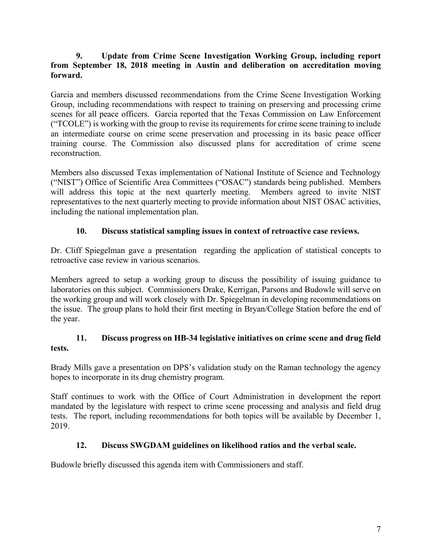#### **9. Update from Crime Scene Investigation Working Group, including report from September 18, 2018 meeting in Austin and deliberation on accreditation moving forward.**

Garcia and members discussed recommendations from the Crime Scene Investigation Working Group, including recommendations with respect to training on preserving and processing crime scenes for all peace officers. Garcia reported that the Texas Commission on Law Enforcement ("TCOLE") is working with the group to revise its requirements for crime scene training to include an intermediate course on crime scene preservation and processing in its basic peace officer training course. The Commission also discussed plans for accreditation of crime scene reconstruction.

Members also discussed Texas implementation of National Institute of Science and Technology ("NIST") Office of Scientific Area Committees ("OSAC") standards being published. Members will address this topic at the next quarterly meeting. Members agreed to invite NIST representatives to the next quarterly meeting to provide information about NIST OSAC activities, including the national implementation plan.

## **10. Discuss statistical sampling issues in context of retroactive case reviews.**

Dr. Cliff Spiegelman gave a presentation regarding the application of statistical concepts to retroactive case review in various scenarios.

Members agreed to setup a working group to discuss the possibility of issuing guidance to laboratories on this subject. Commissioners Drake, Kerrigan, Parsons and Budowle will serve on the working group and will work closely with Dr. Spiegelman in developing recommendations on the issue. The group plans to hold their first meeting in Bryan/College Station before the end of the year.

### **11. Discuss progress on HB-34 legislative initiatives on crime scene and drug field tests.**

Brady Mills gave a presentation on DPS's validation study on the Raman technology the agency hopes to incorporate in its drug chemistry program.

Staff continues to work with the Office of Court Administration in development the report mandated by the legislature with respect to crime scene processing and analysis and field drug tests. The report, including recommendations for both topics will be available by December 1, 2019.

## **12. Discuss SWGDAM guidelines on likelihood ratios and the verbal scale.**

Budowle briefly discussed this agenda item with Commissioners and staff.